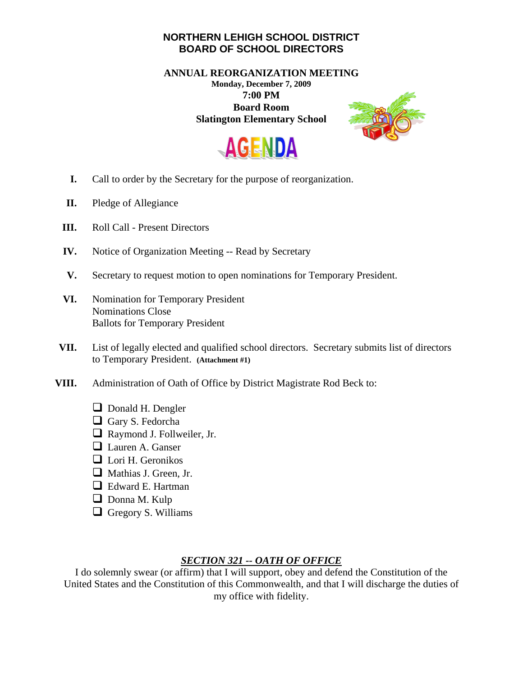## **NORTHERN LEHIGH SCHOOL DISTRICT BOARD OF SCHOOL DIRECTORS**

**ANNUAL REORGANIZATION MEETING Monday, December 7, 2009 7:00 PM Board Room Slatington Elementary School** 





- **I.** Call to order by the Secretary for the purpose of reorganization.
- **II.** Pledge of Allegiance
- **III.** Roll Call Present Directors
- **IV.** Notice of Organization Meeting -- Read by Secretary
- **V.** Secretary to request motion to open nominations for Temporary President.
- **VI.** Nomination for Temporary President Nominations Close Ballots for Temporary President
- **VII.** List of legally elected and qualified school directors. Secretary submits list of directors to Temporary President. **(Attachment #1)**
- **VIII.** Administration of Oath of Office by District Magistrate Rod Beck to:
	- **D** Donald H. Dengler
	- Gary S. Fedorcha
	- Raymond J. Follweiler, Jr.
	- **Lauren A. Ganser**
	- $\Box$  Lori H. Geronikos
	- Mathias J. Green, Jr.
	- **E** Edward E. Hartman
	- Donna M. Kulp
	- Gregory S. Williams

## *SECTION 321 -- OATH OF OFFICE*

I do solemnly swear (or affirm) that I will support, obey and defend the Constitution of the United States and the Constitution of this Commonwealth, and that I will discharge the duties of my office with fidelity.